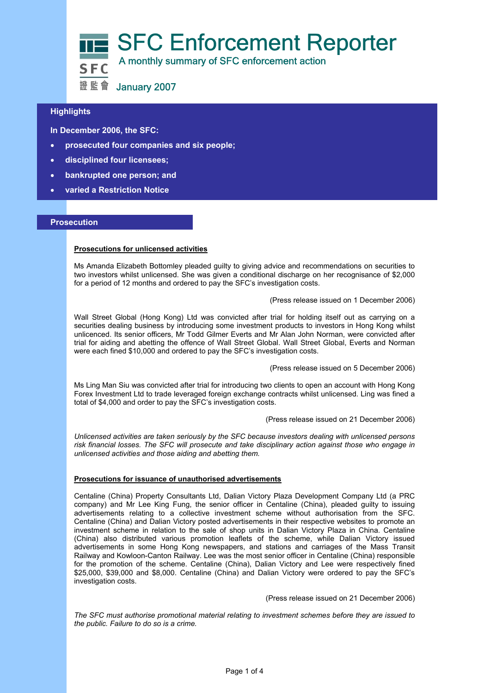

## **Highlights**

 **In December 2006, the SFC:** 

- **prosecuted four companies and six people;**
- **disciplined four licensees;**
- **bankrupted one person; and**
- **varied a Restriction Notice**

#### **Prosecution**

#### **Prosecutions for unlicensed activities**

Ms Amanda Elizabeth Bottomley pleaded guilty to giving advice and recommendations on securities to two investors whilst unlicensed. She was given a conditional discharge on her recognisance of \$2,000 for a period of 12 months and ordered to pay the SFC's investigation costs.

(Press release issued on 1 December 2006)

Wall Street Global (Hong Kong) Ltd was convicted after trial for holding itself out as carrying on a securities dealing business by introducing some investment products to investors in Hong Kong whilst unlicenced. Its senior officers, Mr Todd Gilmer Everts and Mr Alan John Norman, were convicted after trial for aiding and abetting the offence of Wall Street Global. Wall Street Global, Everts and Norman were each fined \$10,000 and ordered to pay the SFC's investigation costs.

(Press release issued on 5 December 2006)

Ms Ling Man Siu was convicted after trial for introducing two clients to open an account with Hong Kong Forex Investment Ltd to trade leveraged foreign exchange contracts whilst unlicensed. Ling was fined a total of \$4,000 and order to pay the SFC's investigation costs.

(Press release issued on 21 December 2006)

*Unlicensed activities are taken seriously by the SFC because investors dealing with unlicensed persons risk financial losses. The SFC will prosecute and take disciplinary action against those who engage in unlicensed activities and those aiding and abetting them.* 

#### **Prosecutions for issuance of unauthorised advertisements**

Centaline (China) Property Consultants Ltd, Dalian Victory Plaza Development Company Ltd (a PRC company) and Mr Lee King Fung, the senior officer in Centaline (China), pleaded guilty to issuing advertisements relating to a collective investment scheme without authorisation from the SFC. Centaline (China) and Dalian Victory posted advertisements in their respective websites to promote an investment scheme in relation to the sale of shop units in Dalian Victory Plaza in China. Centaline (China) also distributed various promotion leaflets of the scheme, while Dalian Victory issued advertisements in some Hong Kong newspapers, and stations and carriages of the Mass Transit Railway and Kowloon-Canton Railway. Lee was the most senior officer in Centaline (China) responsible for the promotion of the scheme. Centaline (China), Dalian Victory and Lee were respectively fined \$25,000, \$39,000 and \$8,000. Centaline (China) and Dalian Victory were ordered to pay the SFC's investigation costs.

(Press release issued on 21 December 2006)

*The SFC must authorise promotional material relating to investment schemes before they are issued to the public. Failure to do so is a crime.*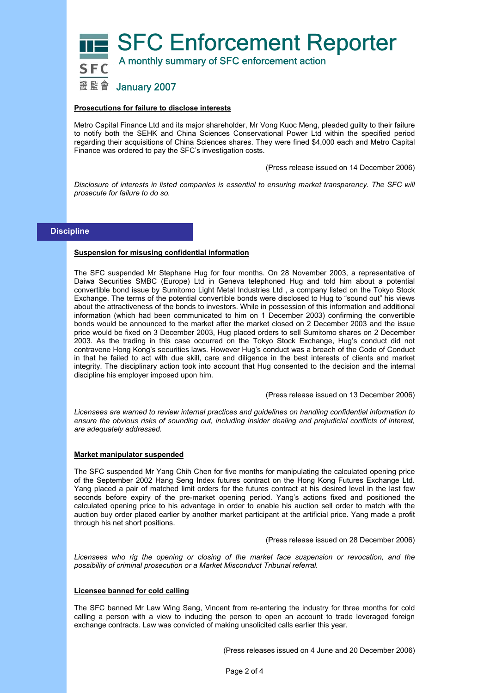**SFC Enforcement Reporter** A monthly summary of SFC enforcement action

# 證監會 January 2007

#### **Prosecutions for failure to disclose interests**

Metro Capital Finance Ltd and its major shareholder, Mr Vong Kuoc Meng, pleaded guilty to their failure to notify both the SEHK and China Sciences Conservational Power Ltd within the specified period regarding their acquisitions of China Sciences shares. They were fined \$4,000 each and Metro Capital Finance was ordered to pay the SFC's investigation costs.

(Press release issued on 14 December 2006)

*Disclosure of interests in listed companies is essential to ensuring market transparency. The SFC will prosecute for failure to do so.* 

#### **Discipline**

#### **Suspension for misusing confidential information**

The SFC suspended Mr Stephane Hug for four months. On 28 November 2003, a representative of Daiwa Securities SMBC (Europe) Ltd in Geneva telephoned Hug and told him about a potential convertible bond issue by Sumitomo Light Metal Industries Ltd , a company listed on the Tokyo Stock Exchange. The terms of the potential convertible bonds were disclosed to Hug to "sound out" his views about the attractiveness of the bonds to investors. While in possession of this information and additional information (which had been communicated to him on 1 December 2003) confirming the convertible bonds would be announced to the market after the market closed on 2 December 2003 and the issue price would be fixed on 3 December 2003, Hug placed orders to sell Sumitomo shares on 2 December 2003. As the trading in this case occurred on the Tokyo Stock Exchange, Hug's conduct did not contravene Hong Kong's securities laws. However Hug's conduct was a breach of the Code of Conduct in that he failed to act with due skill, care and diligence in the best interests of clients and market integrity. The disciplinary action took into account that Hug consented to the decision and the internal discipline his employer imposed upon him.

(Press release issued on 13 December 2006)

*Licensees are warned to review internal practices and guidelines on handling confidential information to ensure the obvious risks of sounding out, including insider dealing and prejudicial conflicts of interest, are adequately addressed.* 

#### **Market manipulator suspended**

The SFC suspended Mr Yang Chih Chen for five months for manipulating the calculated opening price of the September 2002 Hang Seng Index futures contract on the Hong Kong Futures Exchange Ltd. Yang placed a pair of matched limit orders for the futures contract at his desired level in the last few seconds before expiry of the pre-market opening period. Yang's actions fixed and positioned the calculated opening price to his advantage in order to enable his auction sell order to match with the auction buy order placed earlier by another market participant at the artificial price. Yang made a profit through his net short positions.

(Press release issued on 28 December 2006)

*Licensees who rig the opening or closing of the market face suspension or revocation, and the possibility of criminal prosecution or a Market Misconduct Tribunal referral.* 

#### **Licensee banned for cold calling**

The SFC banned Mr Law Wing Sang, Vincent from re-entering the industry for three months for cold calling a person with a view to inducing the person to open an account to trade leveraged foreign exchange contracts. Law was convicted of making unsolicited calls earlier this year.

(Press releases issued on 4 June and 20 December 2006)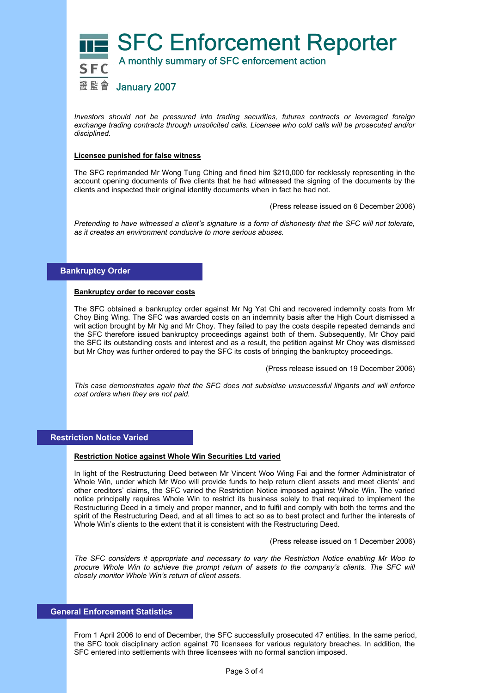

*Investors should not be pressured into trading securities, futures contracts or leveraged foreign exchange trading contracts through unsolicited calls. Licensee who cold calls will be prosecuted and/or disciplined.* 

#### **Licensee punished for false witness**

The SFC reprimanded Mr Wong Tung Ching and fined him \$210,000 for recklessly representing in the account opening documents of five clients that he had witnessed the signing of the documents by the clients and inspected their original identity documents when in fact he had not.

(Press release issued on 6 December 2006)

*Pretending to have witnessed a client's signature is a form of dishonesty that the SFC will not tolerate, as it creates an environment conducive to more serious abuses.* 

### **Bankruptcy Order**

#### **Bankruptcy order to recover costs**

The SFC obtained a bankruptcy order against Mr Ng Yat Chi and recovered indemnity costs from Mr Choy Bing Wing. The SFC was awarded costs on an indemnity basis after the High Court dismissed a writ action brought by Mr Ng and Mr Choy. They failed to pay the costs despite repeated demands and the SFC therefore issued bankruptcy proceedings against both of them. Subsequently, Mr Choy paid the SFC its outstanding costs and interest and as a result, the petition against Mr Choy was dismissed but Mr Choy was further ordered to pay the SFC its costs of bringing the bankruptcy proceedings.

(Press release issued on 19 December 2006)

*This case demonstrates again that the SFC does not subsidise unsuccessful litigants and will enforce cost orders when they are not paid.* 

# **Restriction Notice Varied**

#### **Restriction Notice against Whole Win Securities Ltd varied**

In light of the Restructuring Deed between Mr Vincent Woo Wing Fai and the former Administrator of Whole Win, under which Mr Woo will provide funds to help return client assets and meet clients' and other creditors' claims, the SFC varied the Restriction Notice imposed against Whole Win. The varied notice principally requires Whole Win to restrict its business solely to that required to implement the Restructuring Deed in a timely and proper manner, and to fulfil and comply with both the terms and the spirit of the Restructuring Deed, and at all times to act so as to best protect and further the interests of Whole Win's clients to the extent that it is consistent with the Restructuring Deed.

(Press release issued on 1 December 2006)

*The SFC considers it appropriate and necessary to vary the Restriction Notice enabling Mr Woo to procure Whole Win to achieve the prompt return of assets to the company's clients. The SFC will closely monitor Whole Win's return of client assets.* 

# **General Enforcement Statistics**

From 1 April 2006 to end of December, the SFC successfully prosecuted 47 entities. In the same period, the SFC took disciplinary action against 70 licensees for various regulatory breaches. In addition, the SFC entered into settlements with three licensees with no formal sanction imposed.